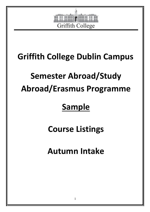

# **Griffith College Dublin Campus**

# **Semester Abroad/Study Abroad/Erasmus Programme**

# **Sample**

**Course Listings** 

**Autumn Intake**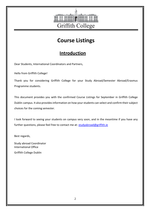

## **Course Listings**

## **Introduction**

Dear Students, International Coordinators and Partners,

Hello from Griffith College!

Thank you for considering Griffith College for your Study Abroad/Semester Abroad/Erasmus Programme students.

This document provides you with the confirmed Course Listings for September in Griffith College Dublin campus. It also provides information on how your students can select and confirm their subject choices for the coming semester.

I look forward to seeing your students on campus very soon, and in the meantime if you have any further questions, please feel free to contact me at: studyabroad@griffith.ie

Best regards,

 Study abroad Coordinator International Office

Griffith College Dublin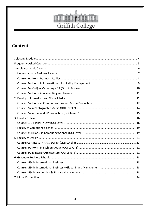

## **Contents**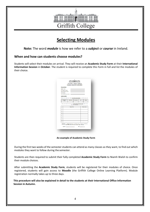

## **Selecting Modules**

**Note:** The word *module* is how we refer to a *subject* or *course* in Ireland.

#### **When and how can students choose modules?**

Students will select their modules on arrival. They will receive an **Academic Study Form** at their **International Information Session** in **October**. The student is required to complete this Form in full and list the modules of their choice.

| Student Name:                                                                                |                 |             |      |             |
|----------------------------------------------------------------------------------------------|-----------------|-------------|------|-------------|
|                                                                                              |                 |             |      |             |
| GCD Student Number:                                                                          |                 |             |      |             |
| Home Institution/Source:                                                                     |                 |             |      |             |
| timall Address:<br>trish Mobile Phone Number:                                                |                 |             |      |             |
|                                                                                              |                 |             |      |             |
| <b>Academic Details</b>                                                                      |                 |             |      |             |
| Flasse Sck the relevant bex (v') is to which GCD hasolty/hasolties you intend to study with: |                 |             |      |             |
| Journalism &<br><b>Martin 1</b>                                                              | <b>Business</b> | Consection: | Lew. | Design      |
|                                                                                              |                 |             |      |             |
| ÷.                                                                                           | Module 1914     |             |      | Medule Cede |
|                                                                                              |                 |             |      |             |
| ż.                                                                                           |                 |             |      |             |
|                                                                                              |                 |             |      |             |
| ÷                                                                                            |                 |             |      |             |
| Ŧ.                                                                                           |                 |             |      |             |
| х.                                                                                           |                 |             |      |             |
| Ŧ.                                                                                           |                 |             |      |             |
| Ŧ.                                                                                           |                 |             |      |             |
| k.                                                                                           |                 |             |      |             |

**An example of Academic Study Form** 

During the first two weeks of the semester students can attend as many classes as they want, to find out which modules they want to follow during the semester.

Students are then required to submit their fully completed **Academic Study Form** to Niamh Walsh to confirm their module choices.

After submitting the **Academic Study Form**, students will be registered for their modules of choice. Once registered, students will gain access to **Moodle** (the Griffith College Online Learning Platform). Module registration normally takes up to three days.

**This procedure will also be explained in detail to the students at their International Office Information Session in Autumn.**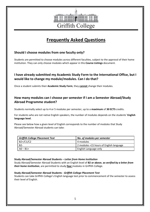

## **Frequently Asked Questions**

#### **Should I choose modules from one faculty only?**

Students are permitted to choose modules across different faculties, subject to the approval of their home institution. They can only choose modules which appear in this **Course Listings** document.

#### **I have already submitted my Academic Study Form to the International Office, but I would like to change my module/modules. Can I do that?**

Once a student submits their **Academic Study Form**, they **cannot** change their modules.

#### **How many modules can I choose per semester if I am a Semester Abroad/Study Abroad Programme student?**

Students normally select up to 4 or 5 modules per semester, up to a **maximum** of **30 ECTS** credits.

For students who are not native English speakers, the number of modules depends on the students' **English language level**.

Please see below how a given level of English corresponds to the number of modules that Study Abroad/Semester Abroad students can take:

| <b>Griffith College Placement Test</b> | No. of modules per semester             |
|----------------------------------------|-----------------------------------------|
| $B2+$ /C1/C2                           | 4 modules                               |
| $B2-$                                  | 2 modules +15 hours of English language |
| $AO - B1 +$                            | English Language only                   |

#### **Study Abroad/Semester Abroad Students –** *Letter from Home Institution*

Study Abroad/Semester Abroad Students with an English level of **B2 or above**, *as verified by a letter from their home institution*, are permitted to study **four** modules in Griffith College.

#### **Study Abroad/Semester Abroad Students -** *Griffith College Placement Test*

Students can take Griffith College's English language test prior to commencement of the semester to assess their level of English.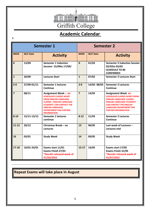

# **Academic Calendar**

| <b>Semester 1</b> |             | <b>Semester 2</b>                                                                                                                                                                                                                                |                |             |                                                                                                                                                                                                                                             |
|-------------------|-------------|--------------------------------------------------------------------------------------------------------------------------------------------------------------------------------------------------------------------------------------------------|----------------|-------------|---------------------------------------------------------------------------------------------------------------------------------------------------------------------------------------------------------------------------------------------|
| <b>WEEK</b>       | W/C Date    | <b>Activity</b>                                                                                                                                                                                                                                  | <b>WEEK</b>    | W/C Date    | <b>Activity</b>                                                                                                                                                                                                                             |
| $\mathbf 0$       | 13/09       | <b>Semester 1 Induction</b><br>Session- 15/09to 17/09/                                                                                                                                                                                           | $\mathbf{0}$   | 01/02       | <b>Semester 2 Induction Session</b><br>02/02to 03/02<br><b>SCHEDULE TO BE</b><br><b>CONFIRMED</b>                                                                                                                                           |
| $\mathbf{1}$      | 20/09       | <b>Lectures Start</b>                                                                                                                                                                                                                            | $\mathbf{1}$   | 07/02       | <b>Semester 2 Lectures Start</b>                                                                                                                                                                                                            |
| $2 - 6$           | 27/09-01/11 | <b>Semester 1 lectures</b><br>Continue                                                                                                                                                                                                           | $2 - 6$        | 14/02-08/03 | <b>Semester 2 Lectures</b><br>Continue                                                                                                                                                                                                      |
| $\overline{7}$    | 08/11       | <b>Assignment Week - NO</b><br><b>SCHEDULED CLASSES APART</b><br><b>FROM ENGLISH LANGUAGE</b><br><b>CLASSES - ENGLISH LANGUAGE</b><br>STUDENTS CAN CONTACT THE<br><b>ENGLISH LANGUAGE</b><br><b>DEPARTMENT FOR FURTHER</b><br><b>INFORMATION</b> | $\overline{7}$ | 14/03       | <b>Assignment Week NO</b><br><b>SCHEDULED CLASSES APART FROM</b><br><b>ENGLISH LANGUAGE CLASSES -</b><br><b>ENGLISH LANGUAGE STUDENTS</b><br><b>CAN CONTACT THE ENGLISH</b><br><b>LANGUAGE DEPARTMENT FOR</b><br><b>FURTHER INFORMATION</b> |
| $8 - 10$          | 15/11-13/12 | <b>Semester 1 lectures</b><br>continue                                                                                                                                                                                                           | $8 - 12$       | 21/03       | <b>Semester 2 Lectures</b><br>Continue                                                                                                                                                                                                      |
| $11 - 12$         | 20/12       | Christmas Break - no<br><b>Lectures</b>                                                                                                                                                                                                          | 13             | 06/05       | Last week of Lectures -<br><b>Lectures end</b>                                                                                                                                                                                              |
| 16                | 03/01       | <b>Study Week</b>                                                                                                                                                                                                                                | 14             | 09/05       | <b>Study Week</b>                                                                                                                                                                                                                           |
| $17-18$           | 10/01-24/01 | Exams start 11/01<br>Exams Finish 27/01<br>*Results released week of<br>01/03/2022                                                                                                                                                               | $15-17$        | 16/05       | Exams start 17/05<br>Exams Finish 31/05<br>*Results released week of<br>01/07/2022                                                                                                                                                          |

## **Repeat Exams will take place in August**

**3**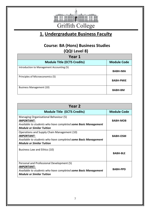

## **1. Undergraduate Business Faculty**

#### **Course: BA (Hons) Business Studies (QQI Level 8)**

| Year 1                                    |                    |  |  |
|-------------------------------------------|--------------------|--|--|
| <b>Module Title (ECTS Credits)</b>        | <b>Module Code</b> |  |  |
| Introduction to Management Accounting (5) | <b>BABH-IMA</b>    |  |  |
| Principles of Microeconomics (5)          | <b>BABH-PMIE</b>   |  |  |
| <b>Business Management (10)</b>           | <b>BABH-BM</b>     |  |  |

| Year 2                                                                                                                                                                 |                    |
|------------------------------------------------------------------------------------------------------------------------------------------------------------------------|--------------------|
| <b>Module Title (ECTS Credits)</b>                                                                                                                                     | <b>Module Code</b> |
| Managing Organisational Behaviour (5)<br><b>IMPORTANT:</b><br>Available to students who have completed some Basic Management<br><b>Module or Similar Tuition</b>       | <b>BABH-MOB</b>    |
| Operations and Supply Chain Management (10)<br><b>IMPORTANT:</b><br>Available to students who have completed some Basic Management<br><b>Module or Similar Tuition</b> | <b>BABH-OSM</b>    |
| Business Law and Ethics (10)                                                                                                                                           | <b>BABH-BLE</b>    |
| Personal and Professional Development (5)<br><b>IMPORTANT:</b><br>Available to students who have completed some Basic Management<br><b>Module or Similar Tuition</b>   | <b>BABH-PPD</b>    |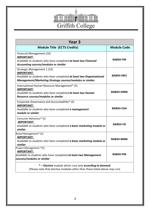

| Year 3                                                                                                                                                                               |                    |  |
|--------------------------------------------------------------------------------------------------------------------------------------------------------------------------------------|--------------------|--|
| <b>Module Title (ECTS Credits)</b>                                                                                                                                                   | <b>Module Code</b> |  |
| Financial Management (10)<br><b>IMPORTANT:</b><br>Available to students who have completed at least two Financial<br>Accounting courses/modules or similar                           | <b>BABSH-FM</b>    |  |
| Strategic Management 1 (10)<br><b>IMPORTANT:</b><br>Available to students who have completed at least two Organisational<br>Management/Marketing Strategy courses/modules or similar | <b>BABSH-SM1</b>   |  |
| International Human Resource Management* (5)<br><b>IMPORTANT:</b><br>Available to students who have completed at least two Human<br>Resource courses/modules or similar              | <b>BABSH-IHRM</b>  |  |
| Corporate Governance and Accountability* (5)<br><b>IMPORTANT:</b><br>Available to students who have completed a management<br>module or similar                                      | <b>BABSH-CGA</b>   |  |
| Consumer Behaviour* (5)<br><b>IMPORTANT:</b><br>Available to students who have completed a basic marketing module or<br>similar                                                      | <b>BABSH-CB</b>    |  |
| Brand Management* (5)<br><b>IMPORTANT:</b><br>Available to students who have completed a basic marketing module or<br>similar                                                        | <b>BABSH-BMM</b>   |  |
| Project Management *(5)<br><u>IMPORTANT:</u><br>Available to students who have completed at least two Management<br>courses/modules or similar                                       | <b>BABSH-PM</b>    |  |
| * = Elective module which runs only according to demand<br>(Please note that elective modules other than those listed above may run)                                                 |                    |  |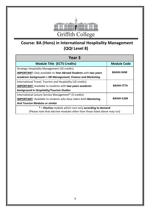

## **Course: BA (Hons) in International Hospitality Management (QQI Level 8)**

| Year <sub>3</sub>                                                                                                                    |                    |  |  |
|--------------------------------------------------------------------------------------------------------------------------------------|--------------------|--|--|
| <b>Module Title (ECTS Credits)</b>                                                                                                   | <b>Module Code</b> |  |  |
| Strategic Hospitality Management (10 credits)                                                                                        |                    |  |  |
| <b>IMPORTANT:</b> Only available to Year Abroad Students with two years                                                              | <b>BAIHH-SHM</b>   |  |  |
| academic background in HR Management, Finance and Marketing                                                                          |                    |  |  |
| International Travel, Tourism and Hospitality (10 credits)                                                                           |                    |  |  |
| <b>IMPORTANT:</b> Available to students with two years academic                                                                      | <b>BAIHH-ITTH</b>  |  |  |
| background in Hospitality/Tourism Studies                                                                                            |                    |  |  |
| International Leisure Service Management* (5 credits)                                                                                |                    |  |  |
| <b>IMPORTANT:</b> Available to students who have taken both Marketing                                                                | <b>BAIHH-ILSM</b>  |  |  |
| <b>And Tourism Modules or similar</b>                                                                                                |                    |  |  |
| * = Elective module which runs only according to demand<br>(Please note that elective modules other than those listed above may run) |                    |  |  |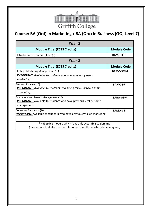

# **Course: BA (Ord) in Marketing / BA (Ord) in Business (QQI Level 7)**

| Year 2                                                                       |                    |  |  |
|------------------------------------------------------------------------------|--------------------|--|--|
| <b>Module Title (ECTS Credits)</b>                                           | <b>Module Code</b> |  |  |
| Introduction to Law and Ethics (5)                                           | <b>BAMO-ILE</b>    |  |  |
| Year 3                                                                       |                    |  |  |
| <b>Module Title (ECTS Credits)</b>                                           | <b>Module Code</b> |  |  |
| Strategic Marketing Management (10)                                          | <b>BAMO-SMM</b>    |  |  |
| <b>IMPORTANT:</b> Available to students who have previously taken            |                    |  |  |
| marketing.                                                                   |                    |  |  |
| <b>Business Finance (10)</b>                                                 | <b>BAMO-BF</b>     |  |  |
| <b>IMPORTANT:</b> Available to students who have previously taken some       |                    |  |  |
| accounting                                                                   |                    |  |  |
| Operations and Project Management (10)                                       | <b>BABO-OPM</b>    |  |  |
| <b>IMPORTANT:</b> Available to students who have previously taken some       |                    |  |  |
| management                                                                   |                    |  |  |
| Consumer Behaviour (10)                                                      | <b>BAMO-CB</b>     |  |  |
| <b>IMPORTANT:</b> Available to students who have previously taken marketing. |                    |  |  |
|                                                                              |                    |  |  |
| * = Elective module which runs only according to demand                      |                    |  |  |
| (Please note that elective modules other than those listed above may run)    |                    |  |  |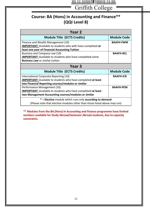

Griffith College

## **Course: BA (Hons) in Accounting and Finance\*\* (QQI Level 8)**

| Year 2                                                                    |                    |  |
|---------------------------------------------------------------------------|--------------------|--|
| <b>Module Title (ECTS Credits)</b>                                        | <b>Module Code</b> |  |
| Finance and Wealth Management (10)                                        | <b>BAAFH-FWM</b>   |  |
| <b>IMPORTANT:</b> Available to students who with have completed at        |                    |  |
| least one year of Financial Accounting Tuition                            |                    |  |
| Business and Company Law (10)                                             | <b>BAAFH-BCL</b>   |  |
| <b>IMPORTANT:</b> Available to students who have completed some           |                    |  |
| <b>Business Law or similar tuition</b>                                    |                    |  |
| Year <sub>3</sub>                                                         |                    |  |
| <b>Module Title (ECTS Credits)</b>                                        | <b>Module Code</b> |  |
| International Corporate Reporting (10)                                    | <b>BAAFH-ICR</b>   |  |
| <b>IMPORTANT:</b> Available to students who have completed at least       |                    |  |
| two Financial Reporting courses/modules or similar                        |                    |  |
| Performance Management (10)                                               | <b>BAAFH-PEM</b>   |  |
| <b>IMPORTANT:</b> Available to students who have completed at least       |                    |  |
| two Management Accounting courses/modules or similar                      |                    |  |
| * = Elective module which runs only according to demand                   |                    |  |
| (Please note that elective modules other than those listed above may run) |                    |  |

**\*\* Modules from the BA (Hons) in Accounting and Finance programme have limited numbers available for Study Abroad/Semester Abroad students, due to capacity constraints.**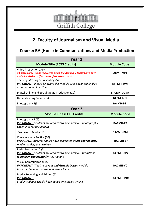

## **2. Faculty of Journalism and Visual Media**

#### **Course: BA (Hons) in Communications and Media Production**

| Year 1                                                                                                                                               |                    |  |  |  |
|------------------------------------------------------------------------------------------------------------------------------------------------------|--------------------|--|--|--|
| <b>Module Title (ECTS Credits)</b>                                                                                                                   | <b>Module Code</b> |  |  |  |
| Video Production 1 (5)<br>10 places only - to be requested using the Academic Study Form only<br>and allocated on a 'first come, first served' basis | <b>BACMH-VP1</b>   |  |  |  |
| Thinking, Writing & Presenting (5)<br><b>IMPORTANT:</b> please be aware this module uses advanced English<br>grammar and dialection                  | <b>BACMH-TWP</b>   |  |  |  |
| Digital Online and Social Media Production (10)                                                                                                      | <b>BACMH-DOSM</b>  |  |  |  |
| Understanding Society (5)                                                                                                                            | <b>BACMH-US</b>    |  |  |  |
| Photography 1(5)                                                                                                                                     | <b>BACMH-P1</b>    |  |  |  |
| Year <sub>2</sub>                                                                                                                                    |                    |  |  |  |
| <b>Module Title (ECTS Credits)</b>                                                                                                                   | <b>Module Code</b> |  |  |  |
| Photography 2 (5)<br><b>IMPORTANT:</b> Students are required to have previous photography<br>experience for this module                              | <b>BACMH-P2</b>    |  |  |  |
| Business of Media (10)                                                                                                                               | <b>BACMH-BM</b>    |  |  |  |
| Contemporary Politics (10)<br><b>IMPORTANT:</b> Students should have completed a first year politics,<br>media studies, or sociology                 | <b>BACMH-CP</b>    |  |  |  |
| Radio Production 2 (5)<br><b>IMPORTANT:</b> Students are required to have previous <b>broadcast</b><br>journalism experience for this module         | <b>BACMH-RP2</b>   |  |  |  |
| <b>Visual Communication (5)</b><br><b>IMPORTANT:</b> This is a Layout and Graphic Design module<br>from the BA in Journalism and Visual Media        | <b>BACMH-VC</b>    |  |  |  |
| Media Reporting and Editing (5)<br><b>IMPORTANT:</b><br>Students ideally should have done some media writing                                         | <b>BACMH-MRE</b>   |  |  |  |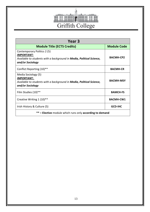

| Year 3                                                                                                                                              |                    |  |
|-----------------------------------------------------------------------------------------------------------------------------------------------------|--------------------|--|
| <b>Module Title (ECTS Credits)</b>                                                                                                                  | <b>Module Code</b> |  |
| Contemporary Politics 2 (5)<br><b>IMPORTANT:</b><br>Available to students with a background in <b>Media, Political Science,</b><br>and/or Sociology | <b>BACMH-CP2</b>   |  |
| Conflict Reporting (10)**                                                                                                                           | <b>BACMH-CR</b>    |  |
| Media Sociology (5)<br><b>IMPORTANT:</b><br>Available to students with a background in <b>Media, Political Science,</b><br>and/or Sociology         | <b>BACMH-MSY</b>   |  |
| Film Studies (10)**                                                                                                                                 | <b>BAMCH-FS</b>    |  |
| Creative Writing 1 (10)**                                                                                                                           | <b>BACMH-CW1</b>   |  |
| Irish History & Culture (5)                                                                                                                         | <b>GCD-IHC</b>     |  |
| ** = Elective module which runs only according to demand                                                                                            |                    |  |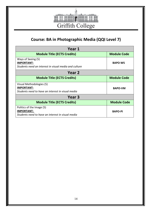

## **Course: BA in Photographic Media (QQI Level 7)**

| Year 1                                                                                           |                    |
|--------------------------------------------------------------------------------------------------|--------------------|
| <b>Module Title (ECTS Credits)</b>                                                               | <b>Module Code</b> |
| Ways of Seeing (5)<br><b>IMPORTANT:</b><br>Students need an interest in visual media and culture | <b>BAPO-WS</b>     |
| Year 2                                                                                           |                    |
| <b>Module Title (ECTS Credits)</b>                                                               | <b>Module Code</b> |
| Visual Methodologies (5)                                                                         |                    |
| <b>IMPORTANT:</b>                                                                                | <b>BAPO-VM</b>     |
| Students need to have an interest in visual media                                                |                    |
| Year 3                                                                                           |                    |
| <b>Module Title (ECTS Credits)</b>                                                               | <b>Module Code</b> |
| Politics of the Image (5)                                                                        |                    |
| <b>IMPORTANT:</b>                                                                                | <b>BAPO-PI</b>     |
| Students need to have an interest in visual media                                                |                    |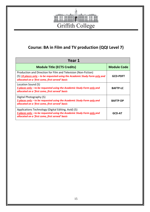

## **Course: BA in Film and TV production (QQI Level 7)**

| Year 1                                                                                                                                                                                           |                    |
|--------------------------------------------------------------------------------------------------------------------------------------------------------------------------------------------------|--------------------|
| <b>Module Title (ECTS Credits)</b>                                                                                                                                                               | <b>Module Code</b> |
| Production and Direction for Film and Television (Non-Fiction)<br>(5) 10 places only - to be requested using the Academic Study Form only and<br>allocated on a 'first come, first served' basis | <b>GCD-PDFT</b>    |
| Location Sound (5)<br>5 places only - to be requested using the Academic Study Form only and<br>allocated on a 'first come, first served' basis                                                  | <b>BAFTP-LC</b>    |
| Digital Photography (5)<br>5 places only – to be requested using the Academic Study Form only and<br>allocated on a 'first come, first served' basis                                             | <b>BAFTP-DP</b>    |
| Applications Technology (Digital Editing, Avid) (5)<br>5 places only - to be requested using the Academic Study Form only and<br>allocated on a 'first come, first served' basis                 | <b>GCD-AT</b>      |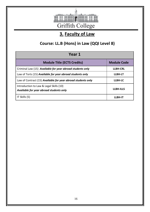

# **3. Faculty of Law**

## **Course: LL.B (Hons) in Law (QQI Level 8)**

| Year 1                                                                             |                    |
|------------------------------------------------------------------------------------|--------------------|
| <b>Module Title (ECTS Credits)</b>                                                 | <b>Module Code</b> |
| Criminal Law (15) Available for year abroad students only                          | <b>LLBH-CRL</b>    |
| Law of Torts (15) Available for year abroad students only                          | <b>LLBH-LT</b>     |
| Law of Contract (15) Available for year abroad students only                       | LLBH-LC            |
| Introduction to Law & Legal Skills (10)<br>Available for year abroad students only | <b>LLBH-ILLS</b>   |
| IT Skills (5)                                                                      | LLBH-IT            |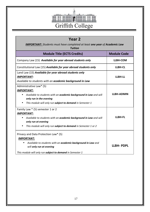

| Year <sub>2</sub>                                                                                                                                                                                                                |                    |
|----------------------------------------------------------------------------------------------------------------------------------------------------------------------------------------------------------------------------------|--------------------|
| <b>IMPORTANT:</b> Students must have completed at least one year of Academic Law<br><b>Tuition</b>                                                                                                                               |                    |
| <b>Module Title (ECTS Credits)</b>                                                                                                                                                                                               | <b>Module Code</b> |
| Company Law (15) Available for year abroad students only                                                                                                                                                                         | LLBH-COM           |
| Constitutional Law (15) Available for year abroad students only                                                                                                                                                                  | <b>LLBH-CL</b>     |
| Land Law (15) Available for year abroad students only<br><b>IMPORTANT:</b><br>Available to students with an academic background in Law                                                                                           | LLBH-LL            |
| Administrative Law* (5)<br><b>IMPORTANT:</b><br>Available to students with an academic background in Law and will<br>only run in the evening<br>This module will only run subject to demand in Semester 1                        | <b>LLBH-ADMIN</b>  |
| Family Law * (5) semester 1 or 2<br><b>IMPORTANT:</b><br>Available to students with an academic background in Law and will<br>$\bullet$<br>only run at evening<br>This module will only run subject to demand in Semester 1 or 2 | <b>LLBH-FL</b>     |
| Privacy and Data Protection Law* (5)<br><b>IMPORTANT:</b><br>Available to students with an academic background in Law and<br>will only run at evening<br>This module will only run subject to demand in Semester 1               | <b>LLBH-PDPL</b>   |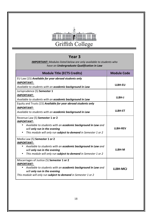

#### **Year 3**

*IMPORTANT: Modules listed below are only available to students who have an Undergraduate Qualification in Law*

| <b>Module Title (ECTS Credits)</b>                                                                                                                                                                                                 | <b>Module Code</b> |
|------------------------------------------------------------------------------------------------------------------------------------------------------------------------------------------------------------------------------------|--------------------|
| EU Law (15) Available for year abroad students only                                                                                                                                                                                |                    |
| <b>IMPORTANT:</b>                                                                                                                                                                                                                  | <b>LLBH-EU</b>     |
| Available to students with an academic background in Law                                                                                                                                                                           |                    |
| Jurisprudence (5) Semester 1                                                                                                                                                                                                       |                    |
| <b>IMPORTANT:</b>                                                                                                                                                                                                                  | LLBH-J             |
| Available to students with an academic background in Law                                                                                                                                                                           |                    |
| Equity and Trusts (15) Available for year abroad students only                                                                                                                                                                     |                    |
| <b>IMPORTANT:</b>                                                                                                                                                                                                                  |                    |
| Available to students with an academic background in Law                                                                                                                                                                           | <b>LLBH-ET</b>     |
| Revenue Law (5) Semester 1 or 2<br><b>IMPORTANT:</b><br>Available to students with an academic background in Law and                                                                                                               |                    |
| will only run in the evening                                                                                                                                                                                                       | <b>LLBH-REV</b>    |
| This module will only run subject to demand in Semester 1 or 2                                                                                                                                                                     |                    |
| Media Law (5) Semester 1 or 2<br><b>IMPORTANT:</b>                                                                                                                                                                                 |                    |
| Available to students with an academic background in Law and<br>will only run in the evening                                                                                                                                       | LLBH-M             |
| This module will only run subject to demand in Semester 1 or 2<br>$\bullet$                                                                                                                                                        |                    |
| Miscarriages of Justice (5) Semester 1 or 2<br><b>IMPORTANT:</b><br>Available to students with an academic background in Law and<br>will only run in the evening<br>This module will only run subject to demand in Semester 1 or 2 | <b>LLBH-MCJ</b>    |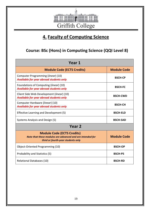

## **4. Faculty of Computing Science**

## **Course: BSc (Hons) in Computing Science (QQI Level 8)**

| Year 1                                                                                                                               |                    |
|--------------------------------------------------------------------------------------------------------------------------------------|--------------------|
| <b>Module Code (ECTS Credits)</b>                                                                                                    | <b>Module Code</b> |
| Computer Programming ( <i>linear</i> ) (10)<br><b>Available for year abroad students only</b>                                        | <b>BSCH-CP</b>     |
| Foundations of Computing ( <i>linear</i> ) (10)<br>Available for year abroad students only                                           | <b>BSCH-FC</b>     |
| Client Side Web Development (linear) (10)<br><b>Available for year abroad students only</b>                                          | <b>BSCH-CWD</b>    |
| Computer Hardware (linear) (10)<br><b>Available for year abroad students only</b>                                                    | <b>BSCH-CH</b>     |
| Effective Learning and Development (5)                                                                                               | <b>BSCH-ELD</b>    |
| Systems Analysis and Design (5)                                                                                                      | <b>BSCH-SAD</b>    |
| Year <sub>2</sub>                                                                                                                    |                    |
| <b>Module Code (ECTS Credits)</b><br>Note that these modules are advanced and are intended for<br>third or fourth-year students only | <b>Module Code</b> |
| Object-Oriented Programming (10)                                                                                                     | <b>BSCH-OP</b>     |
| Probability and Statistics (5)                                                                                                       | <b>BSCH-PS</b>     |
| <b>Relational Databases (10)</b>                                                                                                     | <b>BSCH-RD</b>     |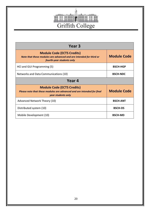

| Year 3                                                                                                                               |                    |
|--------------------------------------------------------------------------------------------------------------------------------------|--------------------|
| <b>Module Code (ECTS Credits)</b><br>Note that these modules are advanced and are intended for third or<br>fourth-year students only | <b>Module Code</b> |
| HCI and GUI Programming (5)                                                                                                          | <b>BSCH-HGP</b>    |
| Networks and Data Communications (10)                                                                                                | <b>BSCH-NDC</b>    |
| Year 4                                                                                                                               |                    |
| <b>Module Code (ECTS Credits)</b><br>Please note that these modules are advanced and are intended for final<br>year students only    | <b>Module Code</b> |
| Advanced Network Theory (10)                                                                                                         | <b>BSCH-ANT</b>    |
| Distributed system (10)                                                                                                              | <b>BSCH-DS</b>     |
| Mobile Development (10)                                                                                                              | <b>BSCH-MD</b>     |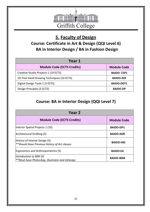

## **5. Faculty of Design**

## **Course: Certificate in Art & Design (QQI Level 6) BA in Interior Design / BA in Fashion Design**

| Year 1                                    |                    |
|-------------------------------------------|--------------------|
| <b>Module Code (ECTS Credits)</b>         | <b>Module Code</b> |
| Creative Studio Projects 1 (10 ECTS)      | <b>BAIDO-CSP1</b>  |
| 2D Free Hand Drawing Techniques (10 ECTS) | <b>BAIDO-2DF</b>   |
| Digital Design Tools 1 (5 ECTS)           | <b>BAIDO-DDT1</b>  |
| Design Principles (5 ECTS)                | <b>BAIDO-DP</b>    |

## **Course: BA in Interior Design (QQI Level 7)**

| Year 2                                                                          |                    |
|---------------------------------------------------------------------------------|--------------------|
| <b>Module Code (ECTS Credits)</b>                                               | <b>Module Code</b> |
| Interior Spatial Projects 1 (10)                                                | <b>BAIDO-ISP1</b>  |
| Architectural Drafting (5)                                                      | <b>BAIDO-ADR</b>   |
| History of Interior Design (5)<br>**Should Have Previous History of Art classes | <b>BAIDO-HID</b>   |
| Ergonomics and Anthropometrics (5)                                              | <b>BAIDO-EA</b>    |
| Introduction to BIM (5)<br>**Must have Photoshop, Illustrator and InDesign      | <b>BAIDO-IBIM</b>  |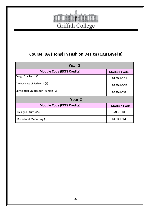

## **Course: BA (Hons) in Fashion Design (QQI Level 8)**

| Year 1                             |                    |
|------------------------------------|--------------------|
| <b>Module Code (ECTS Credits)</b>  | <b>Module Code</b> |
| Design Graphics 1 (5)              | <b>BAFDH-DG1</b>   |
| The Business of Fashion 1 (5)      | <b>BAFDH-BOF</b>   |
| Contextual Studies for Fashion (5) | <b>BAFDH-CSF</b>   |
| Year <sub>2</sub>                  |                    |
| <b>Module Code (ECTS Credits)</b>  | <b>Module Code</b> |
| Design Futures (5)                 | <b>BAFDH-DF</b>    |
| Brand and Marketing (5)            | <b>BAFDH-BM</b>    |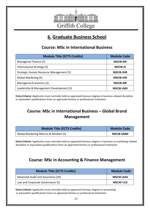

## **6. Graduate Business School**

#### **Course: MSc in International Business**

| <b>Module Title (ECTS Credits)</b>      | <b>Module Code</b> |
|-----------------------------------------|--------------------|
| Managerial Finance (5)                  | <b>MSCIB-MF</b>    |
| International Strategy (5)              | <b>MSCIB-IS</b>    |
| Strategic Human Resource Management (5) | <b>MSCIB-SHR</b>   |
| Global Marketing (5)                    | <b>MSCIB-GM</b>    |
| Managerial Economics (5)                | <b>MSCIB-ME</b>    |
| Leadership & Management Development (5) | <b>MSCIB-LMD</b>   |

**Entry Criteria:** Applicants must normally hold an approved honours degree in business related discipline or equivalent qualifications from an approved tertiary or professional institution

#### **Course: MSc in International Business – Global Brand Management**

| Module Title (ECTS Credits)            | <b>Module Code</b> |
|----------------------------------------|--------------------|
| Global Marketing Metrics & Mindset (5) | <b>MSCIB-GMM</b>   |

**Entry Criteria:** Applicants must normally hold an approved honours degree in business or marketing related discipline or equivalent qualifications from an approved tertiary or professional institution

#### **Course: MSc in Accounting & Finance Management**

| <b>Module Title (ECTS Credits)</b> | <b>Module Code</b> |
|------------------------------------|--------------------|
| Advanced Audit and Assurance (10)  | <b>MSCAF-AAA</b>   |
| Law and Corporate Governance (5)   | <b>MSCAF-LCG</b>   |

**Entry Criteria:** Applicants must normally hold an approved honours degree in accounting or equivalent qualifications from an approved tertiary or professional institution